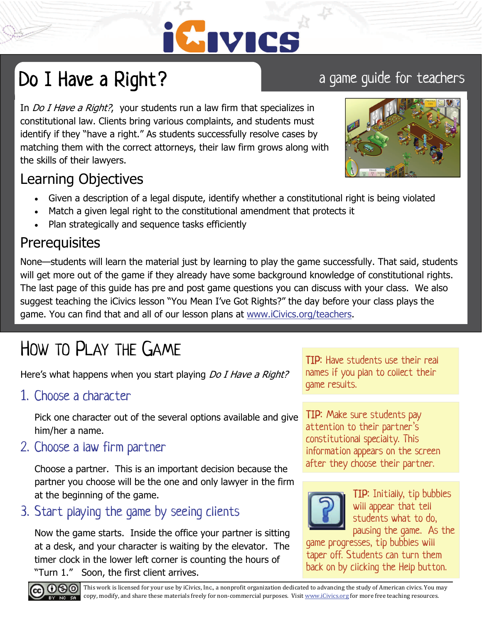

## Do I Have a Right? a game guide for teachers

In *Do I Have a Right?*, your students run a law firm that specializes in constitutional law. Clients bring various complaints, and students must identify if they "have a right." As students successfully resolve cases by matching them with the correct attorneys, their law firm grows along with the skills of their lawyers.

### Learning Objectives

- Given a description of a legal dispute, identify whether a constitutional right is being violated
- Match a given legal right to the constitutional amendment that protects it
- Plan strategically and sequence tasks efficiently

### **Prerequisites**

None—students will learn the material just by learning to play the game successfully. That said, students will get more out of the game if they already have some background knowledge of constitutional rights. The last page of this guide has pre and post game questions you can discuss with your class. We also suggest teaching the iCivics lesson "You Mean I've Got Rights?" the day before your class plays the game. You can find that and all of our lesson plans at www.iCivics.org/teachers.

## HOW TO PLAY THE GAME

Here's what happens when you start playing *Do I Have a Right?* 

1. Choose a character

Pick one character out of the several options available and give him/her a name.

2. Choose a law firm partner

Choose a partner. This is an important decision because the partner you choose will be the one and only lawyer in the firm at the beginning of the game.

3. Start playing the game by seeing clients

Now the game starts. Inside the office your partner is sitting at a desk, and your character is waiting by the elevator. The timer clock in the lower left corner is counting the hours of "Turn 1." Soon, the first client arrives.

TIP: Have students use their real names if you plan to collect their game results.

TIP: Make sure students pay attention to their partner's constitutional specialty. This information appears on the screen after they choose their partner.



TIP: Initially, tip bubbles will appear that tell students what to do, pausing the game. As the

game progresses, tip bubbles will taper off. Students can turn them back on by clicking the Help button.



**CO**  $\bullet$  This work is licensed for your use by iCivics, Inc., a nonprofit organization dedicated to advancing the study of American civics. You may copy, modify, and share these materials freely for non-commercial purposes. Visit www.iCivics.org for more free teaching resources.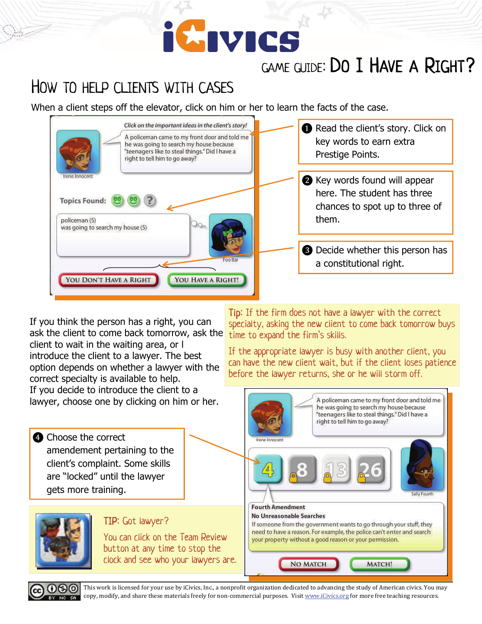## **iCIVICS**

## GAME GUIDE: DO I HAVE A RIGHT?

## HOW TO HELP CLIENTS WITH CASES

When a client steps off the elevator, click on him or her to learn the facts of the case.



If you think the person has a right, you can ask the client to come back tomorrow, ask the client to wait in the waiting area, or l introduce the client to a lawyer. The best option depends on whether a lawyer with the correct specialty is available to help. If you decide to introduce the client to a lawyer, choose one by clicking on him or her.

Tip: If the firm does not have a lawyer with the correct specialty, asking the new client to come back tomorrow buys time to expand the firm's skills.

If the appropriate lawyer is busy with another client, you can have the new client wait, but if the client loses patience before the lawyer returns, she or he will storm off.

A policeman came to my front door and told me





This work is licensed for your use by iCivics, Inc., a nonprofit organization dedicated to advancing the study of American civics. You may copy, modify, and share these materials freely for non-commercial purposes. Visit www.iCivics.org for more free teaching resources.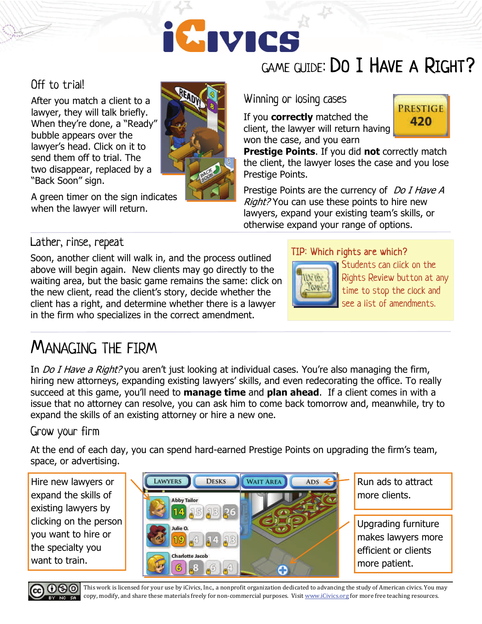# **iCivics**

### Off to trial!

After you match a client to a lawyer, they will talk briefly. When they're done, a "Ready" bubble appears over the lawyer's head. Click on it to send them off to trial. The two disappear, replaced by a "Back Soon" sign.

A green timer on the sign indicates when the lawyer will return.



## GAME GUIDE: DO I HAVE A RIGHT?

Winning or losing cases

If you **correctly** matched the client, the lawyer will return having won the case, and you earn

**Prestige Points**. If you did **not** correctly match the client, the lawyer loses the case and you lose Prestige Points.

Prestige Points are the currency of Do I Have A Right? You can use these points to hire new lawyers, expand your existing team's skills, or otherwise expand your range of options.

### Lather, rinse, repeat

Soon, another client will walk in, and the process outlined above will begin again. New clients may go directly to the waiting area, but the basic game remains the same: click on the new client, read the client's story, decide whether the client has a right, and determine whether there is a lawyer in the firm who specializes in the correct amendment.

### TIP: Which rights are which?



Students can click on the Rights Review button at any time to stop the clock and see a list of amendments.

**PRESTIGE** 420

## MANAGING THE FIRM

In *Do I Have a Right?* you aren't just looking at individual cases. You're also managing the firm, hiring new attorneys, expanding existing lawyers' skills, and even redecorating the office. To really succeed at this game, you'll need to **manage time** and **plan ahead**. If a client comes in with a issue that no attorney can resolve, you can ask him to come back tomorrow and, meanwhile, try to expand the skills of an existing attorney or hire a new one.

### Grow your firm

At the end of each day, you can spend hard-earned Prestige Points on upgrading the firm's team, space, or advertising.

Hire new lawyers or expand the skills of existing lawyers by clicking on the person you want to hire or the specialty you want to train.



Run ads to attract more clients.

Upgrading furniture makes lawyers more efficient or clients more patient.



This work is licensed for your use by iCivics, Inc., a nonprofit organization dedicated to advancing the study of American civics. You may copy, modify, and share these materials freely for non-commercial purposes. Visit www.iCivics.org for more free teaching resources.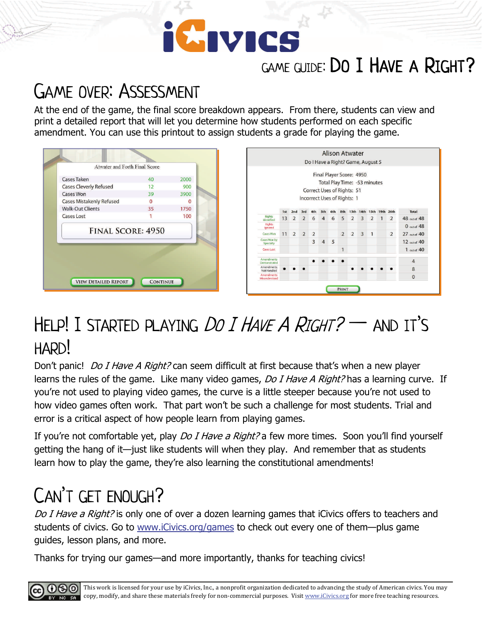# GIVICS

## GAME GUIDE: DO I HAVE A RIGHT?

## GAME OVER: ASSESSMENT

At the end of the game, the final score breakdown appears. From there, students can view and print a detailed report that will let you determine how students performed on each specific amendment. You can use this printout to assign students a grade for playing the game.

| Cases Taken                     | 40       | 2000 |
|---------------------------------|----------|------|
| <b>Cases Cleverly Refused</b>   | 12       | 900  |
| <b>Cases Won</b>                | 39       | 3900 |
| <b>Cases Mistakenly Refused</b> | $\Omega$ |      |
| <b>Walk-Out Clients</b>         | 35       | 1750 |
| <b>Cases Lost</b>               |          | 100  |
| <b>FINAL SCORE: 4950</b>        |          |      |
|                                 |          |      |
|                                 |          |      |



## HELP! I STARTED PLAYING *DO I HAVE A RIGHT?*  $-$  and it's HARD!

Don't panic! *Do I Have A Right?* can seem difficult at first because that's when a new player learns the rules of the game. Like many video games, Do I Have A Right? has a learning curve. If you're not used to playing video games, the curve is a little steeper because you're not used to how video games often work. That part won't be such a challenge for most students. Trial and error is a critical aspect of how people learn from playing games.

If you're not comfortable yet, play *Do I Have a Right?* a few more times. Soon you'll find yourself getting the hang of it—just like students will when they play. And remember that as students learn how to play the game, they're also learning the constitutional amendments!

## CAN'T GET ENOUGH?

Do I Have a Right? is only one of over a dozen learning games that iCivics offers to teachers and students of civics. Go to www.iCivics.org/games to check out every one of them—plus game guides, lesson plans, and more.

Thanks for trying our games—and more importantly, thanks for teaching civics!

 $0$ 90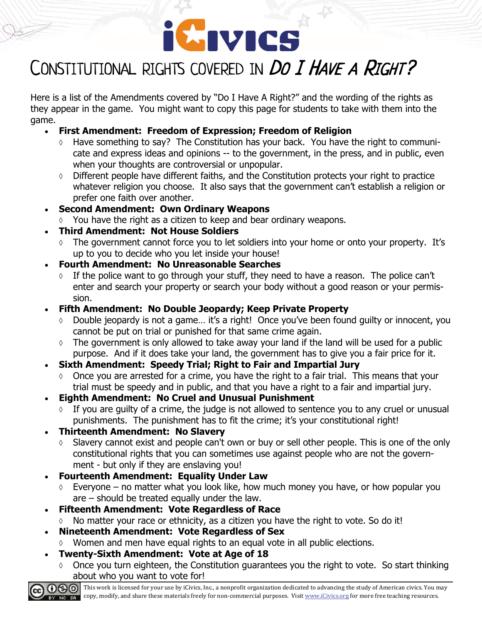

## CONSTITUTIONAL RIGHTS COVERED IN DO I HAVE A RIGHT?

Here is a list of the Amendments covered by "Do I Have A Right?" and the wording of the rights as they appear in the game. You might want to copy this page for students to take with them into the game.

- **First Amendment: Freedom of Expression; Freedom of Religion** 
	- Have something to say? The Constitution has your back. You have the right to communicate and express ideas and opinions -- to the government, in the press, and in public, even when your thoughts are controversial or unpopular.
	- $\lozenge$  Different people have different faiths, and the Constitution protects your right to practice whatever religion you choose. It also says that the government can't establish a religion or prefer one faith over another.
- **Second Amendment: Own Ordinary Weapons** 
	- You have the right as a citizen to keep and bear ordinary weapons.

### **Third Amendment: Not House Soldiers**

- $\Diamond$  The government cannot force you to let soldiers into your home or onto your property. It's up to you to decide who you let inside your house!
- **Fourth Amendment: No Unreasonable Searches** 
	- $\Diamond$  If the police want to go through your stuff, they need to have a reason. The police can't enter and search your property or search your body without a good reason or your permission.
- **Fifth Amendment: No Double Jeopardy; Keep Private Property** 
	- Double jeopardy is not a game… it's a right! Once you've been found guilty or innocent, you cannot be put on trial or punished for that same crime again.
	- $\Diamond$  The government is only allowed to take away your land if the land will be used for a public purpose. And if it does take your land, the government has to give you a fair price for it.
- **Sixth Amendment: Speedy Trial; Right to Fair and Impartial Jury** 
	- $\lozenge$  Once you are arrested for a crime, you have the right to a fair trial. This means that your trial must be speedy and in public, and that you have a right to a fair and impartial jury.
- **Eighth Amendment: No Cruel and Unusual Punishment** 
	- $\Diamond$  If you are quilty of a crime, the judge is not allowed to sentence you to any cruel or unusual punishments. The punishment has to fit the crime; it's your constitutional right!

### **Thirteenth Amendment: No Slavery**

- Slavery cannot exist and people can't own or buy or sell other people. This is one of the only constitutional rights that you can sometimes use against people who are not the government - but only if they are enslaving you!
- **Fourteenth Amendment: Equality Under Law** 
	- $\circ$  Everyone no matter what you look like, how much money you have, or how popular you are – should be treated equally under the law.
- **Fifteenth Amendment: Vote Regardless of Race** 
	- $\lozenge$  No matter your race or ethnicity, as a citizen you have the right to vote. So do it!
- **Nineteenth Amendment: Vote Regardless of Sex** 
	- Women and men have equal rights to an equal vote in all public elections.
- **Twenty-Sixth Amendment: Vote at Age of 18** 
	- $\circ$  Once you turn eighteen, the Constitution guarantees you the right to vote. So start thinking about who you want to vote for!